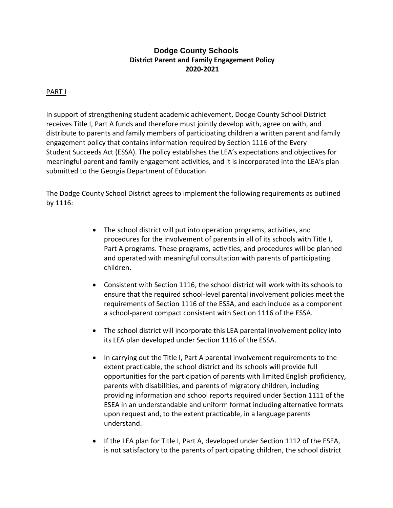# **Dodge County Schools District Parent and Family Engagement Policy 2020-2021**

# PART I

In support of strengthening student academic achievement, Dodge County School District receives Title I, Part A funds and therefore must jointly develop with, agree on with, and distribute to parents and family members of participating children a written parent and family engagement policy that contains information required by Section 1116 of the Every Student Succeeds Act (ESSA). The policy establishes the LEA's expectations and objectives for meaningful parent and family engagement activities, and it is incorporated into the LEA's plan submitted to the Georgia Department of Education.

The Dodge County School District agrees to implement the following requirements as outlined by 1116:

- The school district will put into operation programs, activities, and procedures for the involvement of parents in all of its schools with Title I, Part A programs. These programs, activities, and procedures will be planned and operated with meaningful consultation with parents of participating children.
- Consistent with Section 1116, the school district will work with its schools to ensure that the required school-level parental involvement policies meet the requirements of Section 1116 of the ESSA, and each include as a component a school-parent compact consistent with Section 1116 of the ESSA.
- The school district will incorporate this LEA parental involvement policy into its LEA plan developed under Section 1116 of the ESSA.
- In carrying out the Title I, Part A parental involvement requirements to the extent practicable, the school district and its schools will provide full opportunities for the participation of parents with limited English proficiency, parents with disabilities, and parents of migratory children, including providing information and school reports required under Section 1111 of the ESEA in an understandable and uniform format including alternative formats upon request and, to the extent practicable, in a language parents understand.
- If the LEA plan for Title I, Part A, developed under Section 1112 of the ESEA, is not satisfactory to the parents of participating children, the school district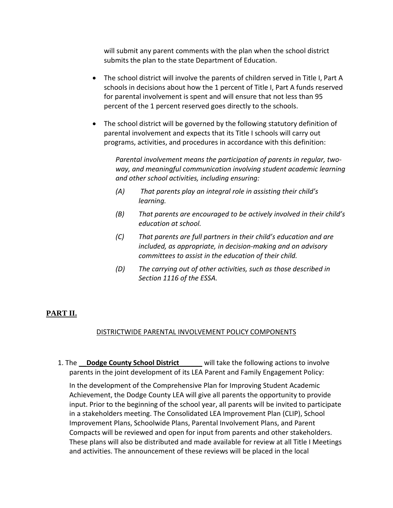will submit any parent comments with the plan when the school district submits the plan to the state Department of Education.

- The school district will involve the parents of children served in Title I, Part A schools in decisions about how the 1 percent of Title I, Part A funds reserved for parental involvement is spent and will ensure that not less than 95 percent of the 1 percent reserved goes directly to the schools.
- The school district will be governed by the following statutory definition of parental involvement and expects that its Title I schools will carry out programs, activities, and procedures in accordance with this definition:

*Parental involvement means the participation of parents in regular, twoway, and meaningful communication involving student academic learning and other school activities, including ensuring:*

- *(A) That parents play an integral role in assisting their child's learning.*
- *(B) That parents are encouraged to be actively involved in their child's education at school.*
- *(C) That parents are full partners in their child's education and are included, as appropriate, in decision-making and on advisory committees to assist in the education of their child.*
- *(D) The carrying out of other activities, such as those described in Section 1116 of the ESSA.*

# **PART II.**

## DISTRICTWIDE PARENTAL INVOLVEMENT POLICY COMPONENTS

1. The **Dodge County School District** \_\_\_\_\_ will take the following actions to involve parents in the joint development of its LEA Parent and Family Engagement Policy:

In the development of the Comprehensive Plan for Improving Student Academic Achievement, the Dodge County LEA will give all parents the opportunity to provide input. Prior to the beginning of the school year, all parents will be invited to participate in a stakeholders meeting. The Consolidated LEA Improvement Plan (CLIP), School Improvement Plans, Schoolwide Plans, Parental Involvement Plans, and Parent Compacts will be reviewed and open for input from parents and other stakeholders. These plans will also be distributed and made available for review at all Title I Meetings and activities. The announcement of these reviews will be placed in the local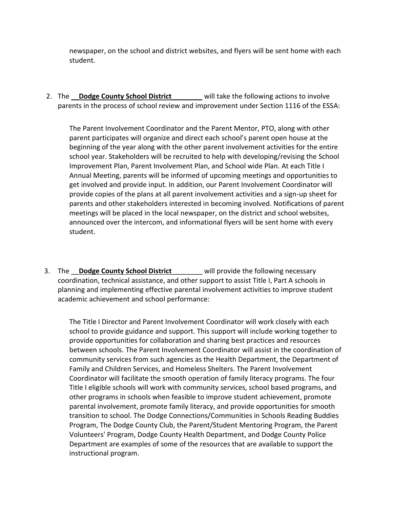newspaper, on the school and district websites, and flyers will be sent home with each student.

2. The \_\_**Dodge County School District**\_\_\_\_\_\_\_\_ will take the following actions to involve parents in the process of school review and improvement under Section 1116 of the ESSA:

The Parent Involvement Coordinator and the Parent Mentor, PTO, along with other parent participates will organize and direct each school's parent open house at the beginning of the year along with the other parent involvement activities for the entire school year. Stakeholders will be recruited to help with developing/revising the School Improvement Plan, Parent Involvement Plan, and School wide Plan. At each Title I Annual Meeting, parents will be informed of upcoming meetings and opportunities to get involved and provide input. In addition, our Parent Involvement Coordinator will provide copies of the plans at all parent involvement activities and a sign-up sheet for parents and other stakeholders interested in becoming involved. Notifications of parent meetings will be placed in the local newspaper, on the district and school websites, announced over the intercom, and informational flyers will be sent home with every student.

3. The **Dodge County School District** \_\_\_\_\_\_ will provide the following necessary coordination, technical assistance, and other support to assist Title I, Part A schools in planning and implementing effective parental involvement activities to improve student academic achievement and school performance:

The Title I Director and Parent Involvement Coordinator will work closely with each school to provide guidance and support. This support will include working together to provide opportunities for collaboration and sharing best practices and resources between schools. The Parent Involvement Coordinator will assist in the coordination of community services from such agencies as the Health Department, the Department of Family and Children Services, and Homeless Shelters. The Parent Involvement Coordinator will facilitate the smooth operation of family literacy programs. The four Title I eligible schools will work with community services, school based programs, and other programs in schools when feasible to improve student achievement, promote parental involvement, promote family literacy, and provide opportunities for smooth transition to school. The Dodge Connections/Communities in Schools Reading Buddies Program, The Dodge County Club, the Parent/Student Mentoring Program, the Parent Volunteers' Program, Dodge County Health Department, and Dodge County Police Department are examples of some of the resources that are available to support the instructional program.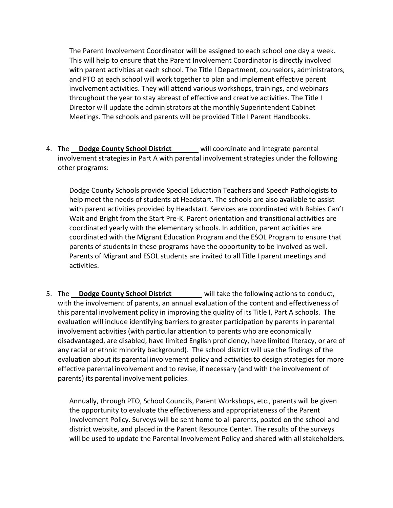The Parent Involvement Coordinator will be assigned to each school one day a week. This will help to ensure that the Parent Involvement Coordinator is directly involved with parent activities at each school. The Title I Department, counselors, administrators, and PTO at each school will work together to plan and implement effective parent involvement activities. They will attend various workshops, trainings, and webinars throughout the year to stay abreast of effective and creative activities. The Title I Director will update the administrators at the monthly Superintendent Cabinet Meetings. The schools and parents will be provided Title I Parent Handbooks.

4. The \_\_**Dodge County School District**\_\_\_\_\_\_\_ will coordinate and integrate parental involvement strategies in Part A with parental involvement strategies under the following other programs:

Dodge County Schools provide Special Education Teachers and Speech Pathologists to help meet the needs of students at Headstart. The schools are also available to assist with parent activities provided by Headstart. Services are coordinated with Babies Can't Wait and Bright from the Start Pre-K. Parent orientation and transitional activities are coordinated yearly with the elementary schools. In addition, parent activities are coordinated with the Migrant Education Program and the ESOL Program to ensure that parents of students in these programs have the opportunity to be involved as well. Parents of Migrant and ESOL students are invited to all Title I parent meetings and activities.

5. The \_\_**Dodge County School District**\_\_\_\_\_\_\_\_ will take the following actions to conduct, with the involvement of parents, an annual evaluation of the content and effectiveness of this parental involvement policy in improving the quality of its Title I, Part A schools. The evaluation will include identifying barriers to greater participation by parents in parental involvement activities (with particular attention to parents who are economically disadvantaged, are disabled, have limited English proficiency, have limited literacy, or are of any racial or ethnic minority background). The school district will use the findings of the evaluation about its parental involvement policy and activities to design strategies for more effective parental involvement and to revise, if necessary (and with the involvement of parents) its parental involvement policies.

Annually, through PTO, School Councils, Parent Workshops, etc., parents will be given the opportunity to evaluate the effectiveness and appropriateness of the Parent Involvement Policy. Surveys will be sent home to all parents, posted on the school and district website, and placed in the Parent Resource Center. The results of the surveys will be used to update the Parental Involvement Policy and shared with all stakeholders.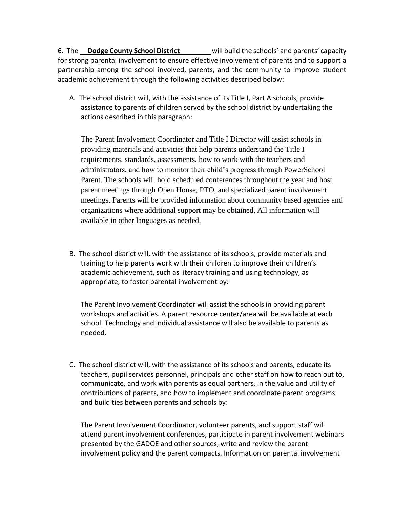6. The \_\_**Dodge County School District**\_\_\_\_\_\_\_\_ will build the schools' and parents' capacity for strong parental involvement to ensure effective involvement of parents and to support a partnership among the school involved, parents, and the community to improve student academic achievement through the following activities described below:

A. The school district will, with the assistance of its Title I, Part A schools, provide assistance to parents of children served by the school district by undertaking the actions described in this paragraph:

The Parent Involvement Coordinator and Title I Director will assist schools in providing materials and activities that help parents understand the Title I requirements, standards, assessments, how to work with the teachers and administrators, and how to monitor their child's progress through PowerSchool Parent. The schools will hold scheduled conferences throughout the year and host parent meetings through Open House, PTO, and specialized parent involvement meetings. Parents will be provided information about community based agencies and organizations where additional support may be obtained. All information will available in other languages as needed.

B. The school district will, with the assistance of its schools, provide materials and training to help parents work with their children to improve their children's academic achievement, such as literacy training and using technology, as appropriate, to foster parental involvement by:

The Parent Involvement Coordinator will assist the schools in providing parent workshops and activities. A parent resource center/area will be available at each school. Technology and individual assistance will also be available to parents as needed.

C. The school district will, with the assistance of its schools and parents, educate its teachers, pupil services personnel, principals and other staff on how to reach out to, communicate, and work with parents as equal partners, in the value and utility of contributions of parents, and how to implement and coordinate parent programs and build ties between parents and schools by:

The Parent Involvement Coordinator, volunteer parents, and support staff will attend parent involvement conferences, participate in parent involvement webinars presented by the GADOE and other sources, write and review the parent involvement policy and the parent compacts. Information on parental involvement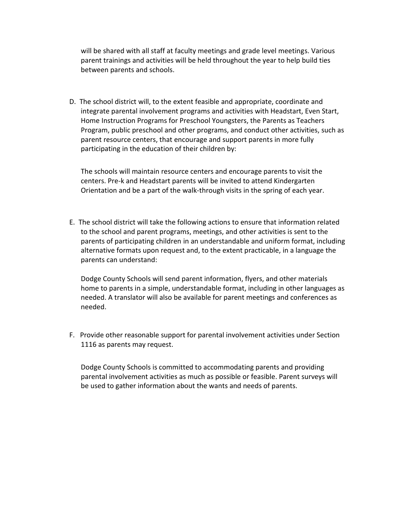will be shared with all staff at faculty meetings and grade level meetings. Various parent trainings and activities will be held throughout the year to help build ties between parents and schools.

D. The school district will, to the extent feasible and appropriate, coordinate and integrate parental involvement programs and activities with Headstart, Even Start, Home Instruction Programs for Preschool Youngsters, the Parents as Teachers Program, public preschool and other programs, and conduct other activities, such as parent resource centers, that encourage and support parents in more fully participating in the education of their children by:

The schools will maintain resource centers and encourage parents to visit the centers. Pre-k and Headstart parents will be invited to attend Kindergarten Orientation and be a part of the walk-through visits in the spring of each year.

E. The school district will take the following actions to ensure that information related to the school and parent programs, meetings, and other activities is sent to the parents of participating children in an understandable and uniform format, including alternative formats upon request and, to the extent practicable, in a language the parents can understand:

Dodge County Schools will send parent information, flyers, and other materials home to parents in a simple, understandable format, including in other languages as needed. A translator will also be available for parent meetings and conferences as needed.

F. Provide other reasonable support for parental involvement activities under Section 1116 as parents may request.

Dodge County Schools is committed to accommodating parents and providing parental involvement activities as much as possible or feasible. Parent surveys will be used to gather information about the wants and needs of parents.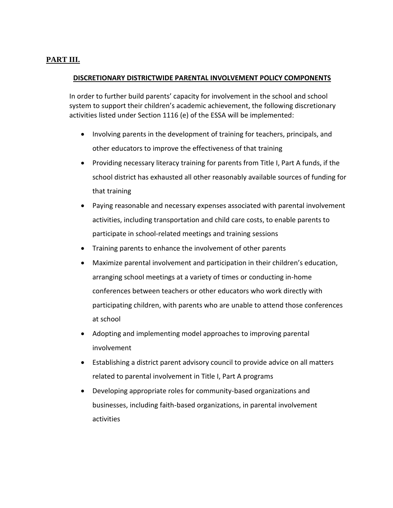# **PART III.**

### **DISCRETIONARY DISTRICTWIDE PARENTAL INVOLVEMENT POLICY COMPONENTS**

In order to further build parents' capacity for involvement in the school and school system to support their children's academic achievement, the following discretionary activities listed under Section 1116 (e) of the ESSA will be implemented:

- Involving parents in the development of training for teachers, principals, and other educators to improve the effectiveness of that training
- Providing necessary literacy training for parents from Title I, Part A funds, if the school district has exhausted all other reasonably available sources of funding for that training
- Paying reasonable and necessary expenses associated with parental involvement activities, including transportation and child care costs, to enable parents to participate in school-related meetings and training sessions
- Training parents to enhance the involvement of other parents
- Maximize parental involvement and participation in their children's education, arranging school meetings at a variety of times or conducting in-home conferences between teachers or other educators who work directly with participating children, with parents who are unable to attend those conferences at school
- Adopting and implementing model approaches to improving parental involvement
- Establishing a district parent advisory council to provide advice on all matters related to parental involvement in Title I, Part A programs
- Developing appropriate roles for community-based organizations and businesses, including faith-based organizations, in parental involvement activities